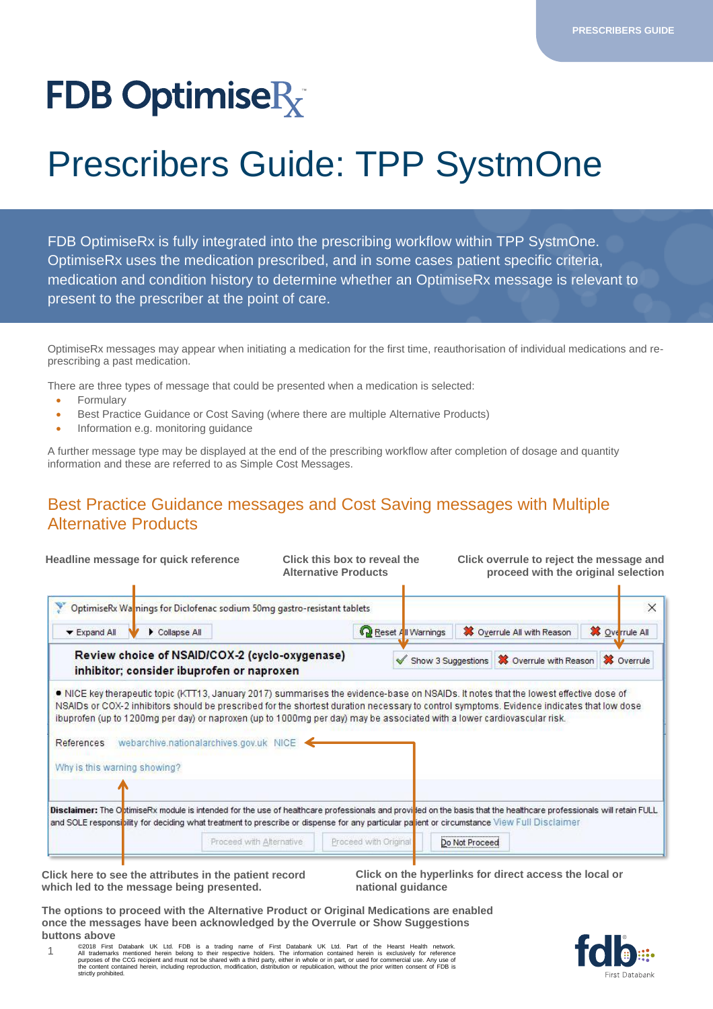# **FDB OptimiseR**

## Prescribers Guide: TPP SystmOne

FDB OptimiseRx is fully integrated into the prescribing workflow within TPP SystmOne. OptimiseRx uses the medication prescribed, and in some cases patient specific criteria, medication and condition history to determine whether an OptimiseRx message is relevant to present to the prescriber at the point of care.

OptimiseRx messages may appear when initiating a medication for the first time, reauthorisation of individual medications and represcribing a past medication.

There are three types of message that could be presented when a medication is selected:

- **Formulary**
- Best Practice Guidance or Cost Saving (where there are multiple Alternative Products)
- Information e.g. monitoring guidance

A further message type may be displayed at the end of the prescribing workflow after completion of dosage and quantity information and these are referred to as Simple Cost Messages.

#### Best Practice Guidance messages and Cost Saving messages with Multiple Alternative Products

| Headline message for quick reference                                                                                                                                                                                                                                                                                                                                                                                                                                                                 | Click this box to reveal the<br><b>Alternative Products</b> |                    | Click overrule to reject the message and<br>proceed with the original selection |                       |
|------------------------------------------------------------------------------------------------------------------------------------------------------------------------------------------------------------------------------------------------------------------------------------------------------------------------------------------------------------------------------------------------------------------------------------------------------------------------------------------------------|-------------------------------------------------------------|--------------------|---------------------------------------------------------------------------------|-----------------------|
| OptimiseRx Wannings for Diclofenac sodium 50mg gastro-resistant tablets                                                                                                                                                                                                                                                                                                                                                                                                                              |                                                             |                    |                                                                                 | $\times$              |
| Collapse All<br>$\blacktriangleright$ Expand All                                                                                                                                                                                                                                                                                                                                                                                                                                                     |                                                             | Reset All Warnings | X Overrule All with Reason                                                      | <b>X</b> Overrule All |
| Review choice of NSAID/COX-2 (cyclo-oxygenase)<br>inhibitor; consider ibuprofen or naproxen                                                                                                                                                                                                                                                                                                                                                                                                          |                                                             |                    | Show 3 Suggestions <b>X</b> Overrule with Reason <b>X</b> Overrule              |                       |
| NICE key therapeutic topic (KTT13, January 2017) summarises the evidence-base on NSAIDs. It notes that the lowest effective dose of<br>NSAIDs or COX-2 inhibitors should be prescribed for the shortest duration necessary to control symptoms. Evidence indicates that low dose<br>ibuprofen (up to 1200mg per day) or naproxen (up to 1000mg per day) may be associated with a lower cardiovascular risk.<br>webarchive.nationalarchives.gov.uk NICE<br>References<br>Why is this warning showing? |                                                             |                    |                                                                                 |                       |
|                                                                                                                                                                                                                                                                                                                                                                                                                                                                                                      |                                                             |                    |                                                                                 |                       |
| Disclaimer: The OptimiseRx module is intended for the use of healthcare professionals and provided on the basis that the healthcare professionals will retain FULL<br>and SOLE responsibility for deciding what treatment to prescribe or dispense for any particular patient or circumstance View Full Disclaimer                                                                                                                                                                                   |                                                             |                    |                                                                                 |                       |

**Click here to see the attributes in the patient record which led to the message being presented.** 

**Click on the hyperlinks for direct access the local or national guidance** 

**The options to proceed with the Alternative Product or Original Medications are enabled once the messages have been acknowledged by the Overrule or Show Suggestions buttons above** 



1 ©2018 First Databank UK Ltd. FDB is a trading name of First Databank UK Ltd. Part of the Hearst Health network.<br>All trademarks mentioned herein belong to their respective holders. The information contained herein is exclus strictly prohibited.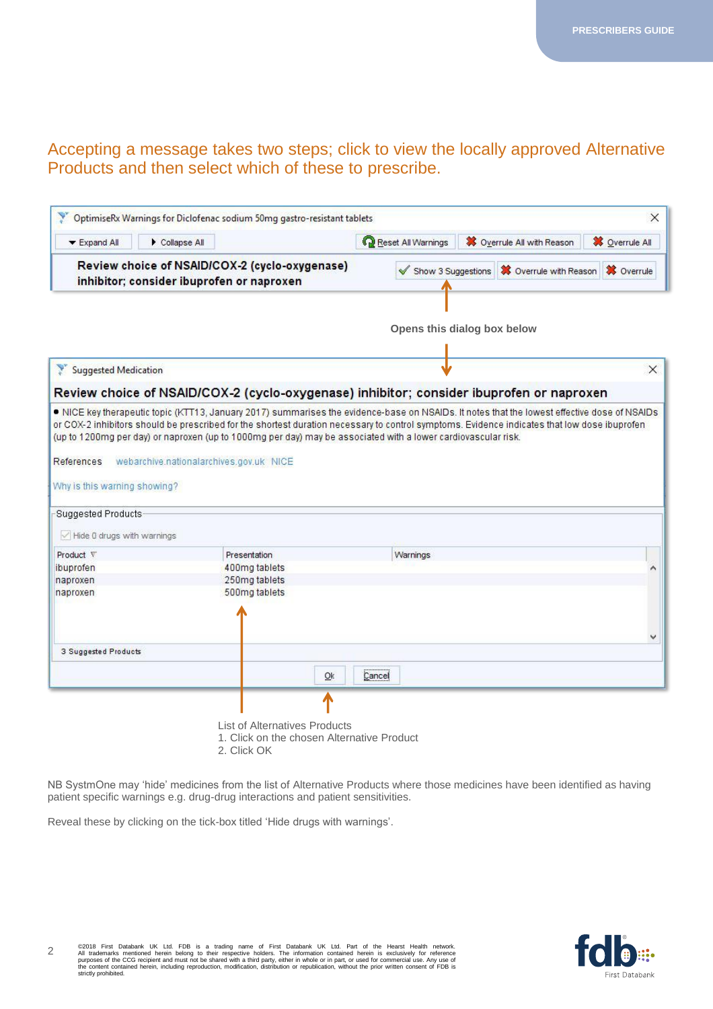#### Accepting a message takes two steps; click to view the locally approved Alternative Products and then select which of these to prescribe.

| ▼ Expand All                                              | Collapse All                                                                                                                                                                                                                                                                                                                                                                                                                                             | Reset All Warnings          | X Overrule All with Reason    | <b>X</b> Overrule All |   |
|-----------------------------------------------------------|----------------------------------------------------------------------------------------------------------------------------------------------------------------------------------------------------------------------------------------------------------------------------------------------------------------------------------------------------------------------------------------------------------------------------------------------------------|-----------------------------|-------------------------------|-----------------------|---|
|                                                           | Review choice of NSAID/COX-2 (cyclo-oxygenase)<br>inhibitor; consider ibuprofen or naproxen                                                                                                                                                                                                                                                                                                                                                              | Show 3 Suggestions          | <b>X</b> Overrule with Reason | <b>※</b> Overrule     |   |
|                                                           |                                                                                                                                                                                                                                                                                                                                                                                                                                                          | Opens this dialog box below |                               |                       |   |
| Y<br><b>Suggested Medication</b>                          |                                                                                                                                                                                                                                                                                                                                                                                                                                                          |                             |                               |                       | X |
|                                                           | Review choice of NSAID/COX-2 (cyclo-oxygenase) inhibitor; consider ibuprofen or naproxen                                                                                                                                                                                                                                                                                                                                                                 |                             |                               |                       |   |
| References                                                | ● NICE key therapeutic topic (KTT13, January 2017) summarises the evidence-base on NSAIDs. It notes that the lowest effective dose of NSAIDs<br>or COX-2 inhibitors should be prescribed for the shortest duration necessary to control symptoms. Evidence indicates that low dose ibuprofen<br>(up to 1200mg per day) or naproxen (up to 1000mg per day) may be associated with a lower cardiovascular risk.<br>webarchive.nationalarchives.gov.uk NICE |                             |                               |                       |   |
| Why is this warning showing?<br><b>Suggested Products</b> |                                                                                                                                                                                                                                                                                                                                                                                                                                                          |                             |                               |                       |   |
| $\vee$ Hide 0 drugs with warnings                         |                                                                                                                                                                                                                                                                                                                                                                                                                                                          |                             |                               |                       |   |
|                                                           | <b>Presentation</b>                                                                                                                                                                                                                                                                                                                                                                                                                                      | Warnings                    |                               |                       |   |
| Product V<br>ibuprofen                                    | 400mg tablets                                                                                                                                                                                                                                                                                                                                                                                                                                            |                             |                               |                       |   |
| naproxen<br>naproxen                                      | 250mg tablets<br>500mg tablets                                                                                                                                                                                                                                                                                                                                                                                                                           |                             |                               |                       |   |
| 3 Suggested Products                                      |                                                                                                                                                                                                                                                                                                                                                                                                                                                          |                             |                               |                       |   |
|                                                           | Ok.                                                                                                                                                                                                                                                                                                                                                                                                                                                      | Cancel                      |                               |                       |   |

2. Click OK

NB SystmOne may 'hide' medicines from the list of Alternative Products where those medicines have been identified as having patient specific warnings e.g. drug-drug interactions and patient sensitivities.

Reveal these by clicking on the tick-box titled 'Hide drugs with warnings'.

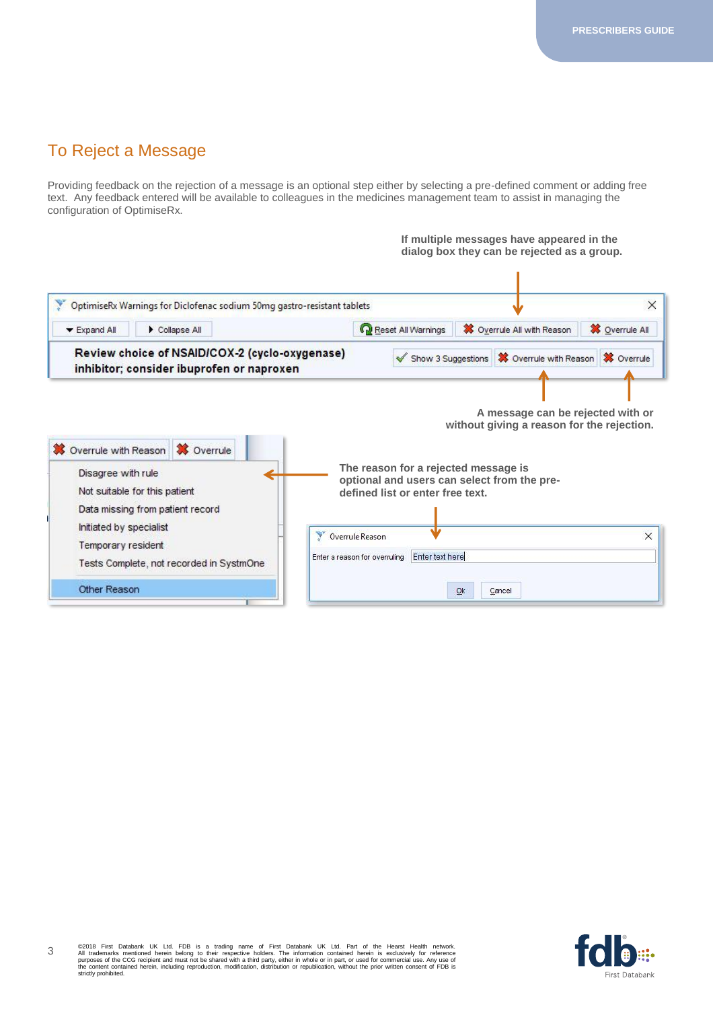#### To Reject a Message

Providing feedback on the rejection of a message is an optional step either by selecting a pre-defined comment or adding free text. Any feedback entered will be available to colleagues in the medicines management team to assist in managing the configuration of OptimiseRx.



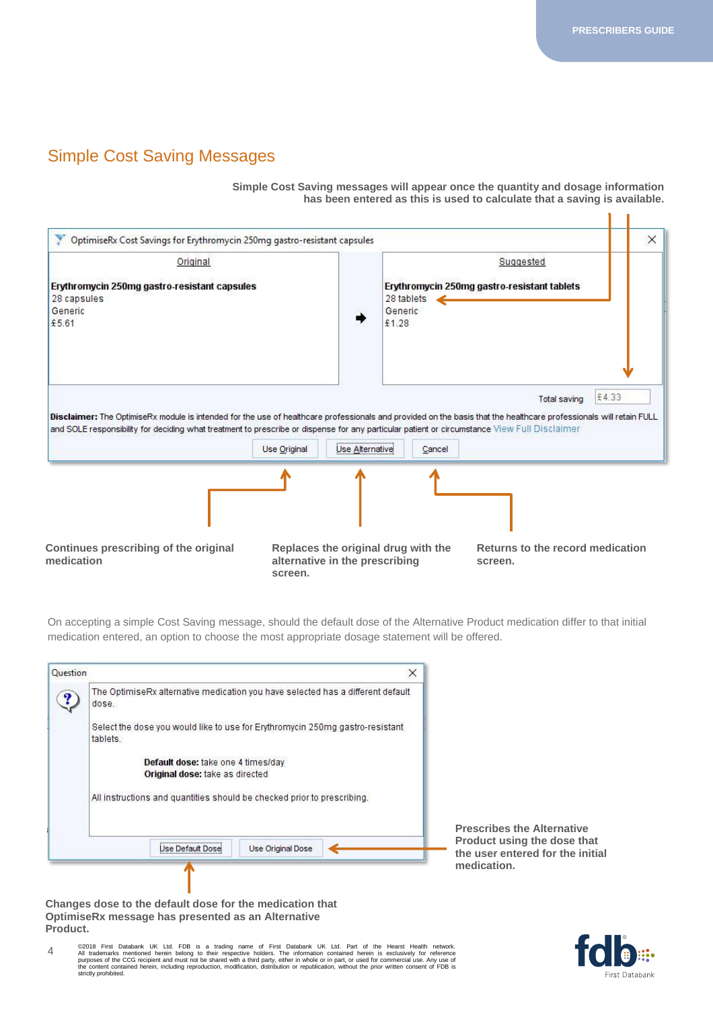$\mathbf{1}$ 

#### Simple Cost Saving Messages

**Simple Cost Saving messages will appear once the quantity and dosage information has been entered as this is used to calculate that a saving is available.** 

| OptimiseRx Cost Savings for Erythromycin 250mg gastro-resistant capsules                                                                                                                                                                                                                                           |              |                                                                       |        |                                                          | $\times$ |
|--------------------------------------------------------------------------------------------------------------------------------------------------------------------------------------------------------------------------------------------------------------------------------------------------------------------|--------------|-----------------------------------------------------------------------|--------|----------------------------------------------------------|----------|
| Original<br>Erythromycin 250mg gastro-resistant capsules<br>28 capsules<br>Generic<br>£5.61                                                                                                                                                                                                                        |              | 28 tablets<br>Generic<br>£1.28                                        |        | Suggested<br>Erythromycin 250mg gastro-resistant tablets |          |
| Disclaimer: The OptimiseRx module is intended for the use of healthcare professionals and provided on the basis that the healthcare professionals will retain FULL<br>and SOLE responsibility for deciding what treatment to prescribe or dispense for any particular patient or circumstance View Full Disclaimer | Use Original | Use Alternative                                                       | Cancel | £4.33<br>Total saving                                    |          |
|                                                                                                                                                                                                                                                                                                                    |              |                                                                       |        |                                                          |          |
| Continues prescribing of the original<br>medication                                                                                                                                                                                                                                                                | screen.      | Replaces the original drug with the<br>alternative in the prescribing |        | Returns to the record medication<br>screen.              |          |

On accepting a simple Cost Saving message, should the default dose of the Alternative Product medication differ to that initial medication entered, an option to choose the most appropriate dosage statement will be offered.

| Question |                                                                         | ×                                                                               |
|----------|-------------------------------------------------------------------------|---------------------------------------------------------------------------------|
|          | dose.                                                                   | The OptimiseRx alternative medication you have selected has a different default |
|          | tablets.                                                                | Select the dose you would like to use for Erythromycin 250mg gastro-resistant   |
|          | Default dose: take one 4 times/day<br>Original dose: take as directed   |                                                                                 |
|          | All instructions and quantities should be checked prior to prescribing. |                                                                                 |
|          |                                                                         |                                                                                 |
|          |                                                                         | Use Original Dose                                                               |

**Prescribes the Alternative Product using the dose that the user entered for the initial medication.**

**Changes dose to the default dose for the medication that OptimiseRx message has presented as an Alternative Product.**

4 ©2018 First Databank UK Ltd. FDB is a trading name of First Databank UK Ltd. Part of the Hearst Health network.<br>All trademarks mentioned herein belong to their respective holders. The information contained herein is exclus